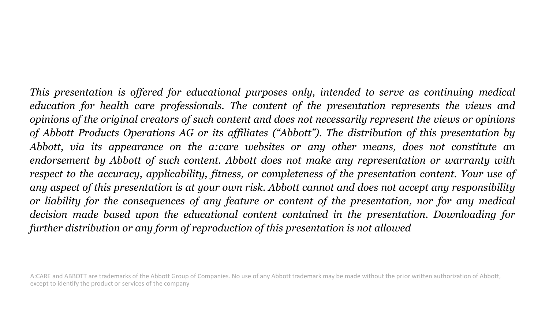*This presentation is offered for educational purposes only, intended to serve as continuing medical education for health care professionals. The content of the presentation represents the views and* opinions of the original creators of such content and does not necessarily represent the views or opinions *of Abbott Products Operations AG or its affiliates ("Abbott"). The distribution of this presentation by Abbott, via its appearance on the a:care websites or any other means, does not constitute an endorsement by Abbott of such content. Abbott does not make any representation or warranty with respect to the accuracy, applicability, fitness, or completeness of the presentation content. Your use of* any aspect of this presentation is at your own risk. Abbott cannot and does not accept any responsibility *or liability for the consequences of any feature or content of the presentation, nor for any medical decision made based upon the educational content contained in the presentation. Downloading for further distribution or any form of reproduction of this presentation is not allowed*

A:CARE and ABBOTT are trademarks of the Abbott Group of Companies. No use of any Abbott trademark may be made without the prior written authorization of Abbott, except to identify the product or services of the company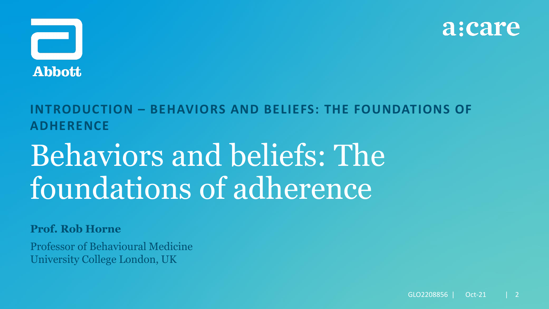



### **INTRODUCTION – BEHAVIORS AND BELIEFS: THE FOUNDATIONS OF ADHERENCE**

# Behaviors and beliefs: The foundations of adherence

### **Prof. Rob Horne**

Professor of Behavioural Medicine University College London, UK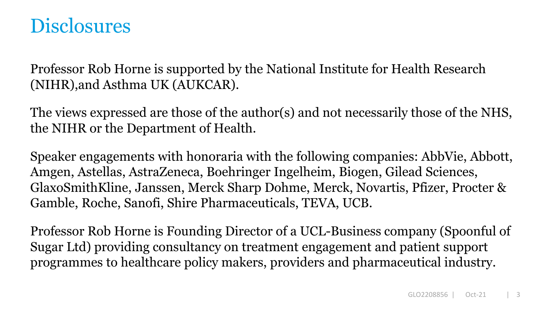### **Disclosures**

Professor Rob Horne is supported by the National Institute for Health Research (NIHR),and Asthma UK (AUKCAR).

The views expressed are those of the author(s) and not necessarily those of the NHS, the NIHR or the Department of Health.

Speaker engagements with honoraria with the following companies: AbbVie, Abbott, Amgen, Astellas, AstraZeneca, Boehringer Ingelheim, Biogen, Gilead Sciences, GlaxoSmithKline, Janssen, Merck Sharp Dohme, Merck, Novartis, Pfizer, Procter & Gamble, Roche, Sanofi, Shire Pharmaceuticals, TEVA, UCB.

Professor Rob Horne is Founding Director of a UCL-Business company (Spoonful of Sugar Ltd) providing consultancy on treatment engagement and patient support programmes to healthcare policy makers, providers and pharmaceutical industry.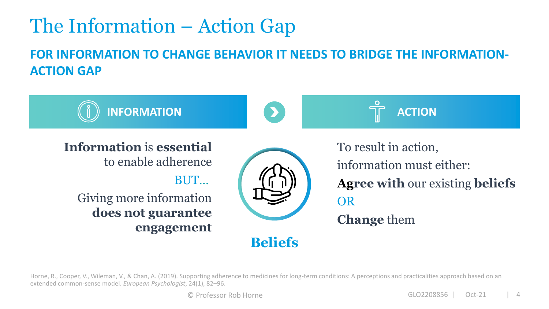## The Information – Action Gap

**FOR INFORMATION TO CHANGE BEHAVIOR IT NEEDS TO BRIDGE THE INFORMATION-ACTION GAP**



Horne, R., Cooper, V., Wileman, V., & Chan, A. (2019). Supporting adherence to medicines for long-term conditions: A perceptions and practicalities approach based on an extended common-sense model. *European Psychologist*, 24(1), 82–96.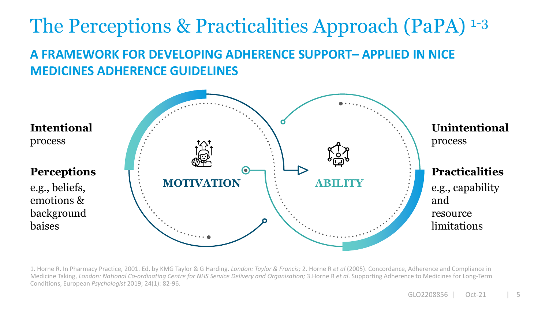### **A FRAMEWORK FOR DEVELOPING ADHERENCE SUPPORT– APPLIED IN NICE MEDICINES ADHERENCE GUIDELINES** The Perceptions & Practicalities Approach (PaPA) 1-3



1. Horne R. In Pharmacy Practice, 2001. Ed. by KMG Taylor & G Harding. *London: Taylor & Francis;* 2. Horne R *et al* (2005). Concordance, Adherence and Compliance in Medicine Taking, *London: National Co-ordinating Centre for NHS Service Delivery and Organisation;* 3.Horne R *et al*. Supporting Adherence to Medicines for Long-Term Conditions, European *Psychologist* 2019; 24(1): 82-96.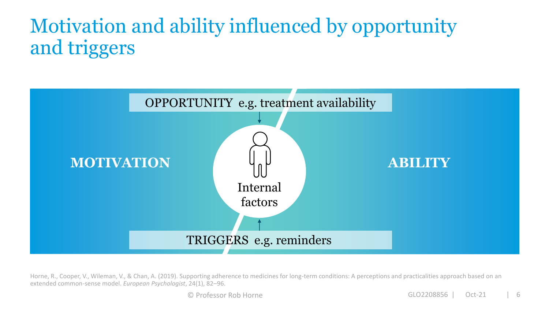# Motivation and ability influenced by opportunity and triggers



Horne, R., Cooper, V., Wileman, V., & Chan, A. (2019). Supporting adherence to medicines for long-term conditions: A perceptions and practicalities approach based on an extended common-sense model. *European Psychologist*, 24(1), 82–96.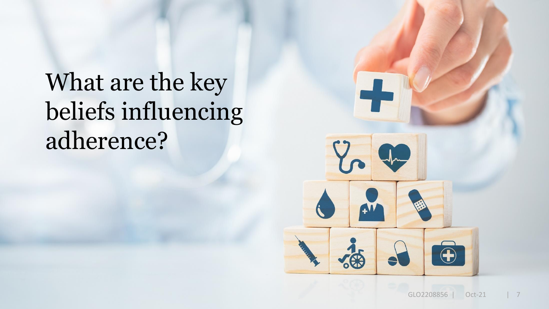# What are the key beliefs influencing adherence?

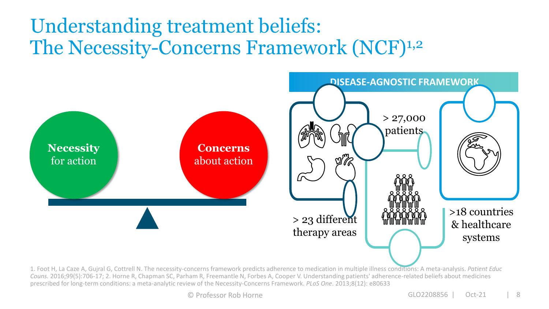### Understanding treatment beliefs: The Necessity-Concerns Framework (NCF)<sup>1,2</sup>



1. Foot H, La Caze A, Gujral G, Cottrell N. The necessity-concerns framework predicts adherence to medication in multiple illness conditions: A meta-analysis. *Patient Educ Couns.* 2016;99(5):706-17; 2. Horne R, Chapman SC, Parham R, Freemantle N, Forbes A, Cooper V. Understanding patients' adherence-related beliefs about medicines prescribed for long-term conditions: a meta-analytic review of the Necessity-Concerns Framework. *PLoS One*. 2013;8(12): e80633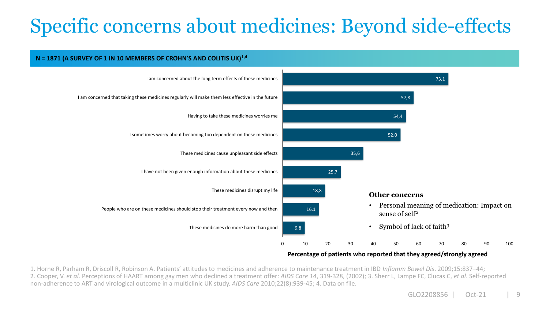# Specific concerns about medicines: Beyond side-effects

**N = 1871 (A SURVEY OF 1 IN 10 MEMBERS OF CROHN'S AND COLITIS UK)1,4**

#### 73,1 57,8 54,4 52,0 35,6 25,7 18,8 16,1 9,8 0 10 20 30 40 50 60 70 80 90 100 I am concerned about the long term effects of these medicines I am concerned that taking these medicines regularly will make them less effective in the future Having to take these medicines worries me I sometimes worry about becoming too dependent on these medicines These medicines cause unpleasant side effects I have not been given enough information about these medicines These medicines disrupt my life People who are on these medicines should stop their treatment every now and then These medicines do more harm than good **Other concerns** • Personal meaning of medication: Impact on sense of self<sup>2</sup> • Symbol of lack of faith<sup>3</sup>

#### **Percentage of patients who reported that they agreed/strongly agreed**

1. Horne R, Parham R, Driscoll R, Robinson A. Patients' attitudes to medicines and adherence to maintenance treatment in IBD *Inflamm Bowel Dis*. 2009;15:837–44; 2. Cooper, V. *et al*. Perceptions of HAART among gay men who declined a treatment offer: *AIDS Care 14*, 319-328, (2002); 3. Sherr L, Lampe FC, Clucas C, *et al*. Self-reported non-adherence to ART and virological outcome in a multiclinic UK study. *AIDS Care* 2010;22(8):939-45; 4. Data on file.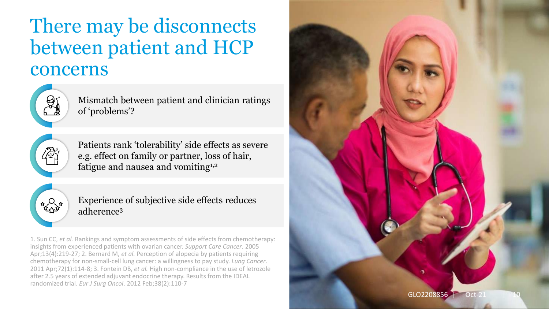### There may be disconnects between patient and HCP concerns



Mismatch between patient and clinician ratings of 'problems'?



Patients rank 'tolerability' side effects as severe e.g. effect on family or partner, loss of hair, fatigue and nausea and vomiting<sup>1,2</sup>



Experience of subjective side effects reduces adherence<sup>3</sup>

1. Sun CC, *et al.* Rankings and symptom assessments of side effects from chemotherapy: insights from experienced patients with ovarian cancer. *Support Care Cancer*. 2005 Apr;13(4):219-27; 2. Bernard M, *et al.* Perception of alopecia by patients requiring chemotherapy for non-small-cell lung cancer: a willingness to pay study. *Lung Cancer*. 2011 Apr;72(1):114-8; 3. Fontein DB, *et al.* High non-compliance in the use of letrozole after 2.5 years of extended adjuvant endocrine therapy. Results from the IDEAL randomized trial. *Eur J Surg Oncol*. 2012 Feb;38(2):110-7

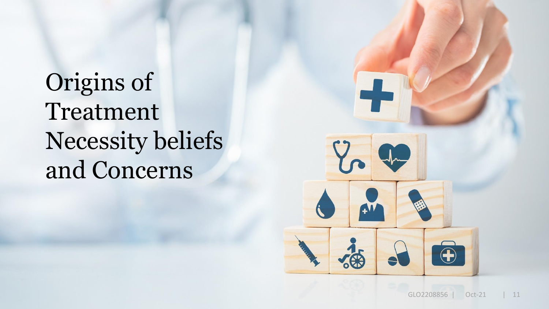# Origins of Treatment Necessity beliefs and Concerns

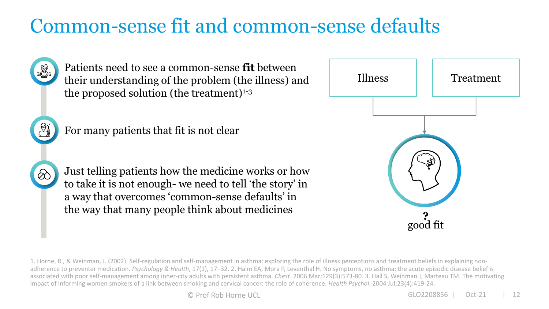### Common-sense fit and common-sense defaults



1. Horne, R., & Weinman, J. (2002). Self-regulation and self-management in asthma: exploring the role of illness perceptions and treatment beliefs in explaining nonadherence to preventer medication. *Psychology & Health*, 17(1), 17–32. 2. Halm EA, Mora P, Leventhal H. No symptoms, no asthma: the acute episodic disease belief is associated with poor self-management among inner-city adults with persistent asthma. *Chest*. 2006 Mar;129(3):573-80. 3. Hall S, Weinman J, Marteau TM. The motivating impact of informing women smokers of a link between smoking and cervical cancer: the role of coherence. *Health Psychol*. 2004 Jul;23(4):419-24.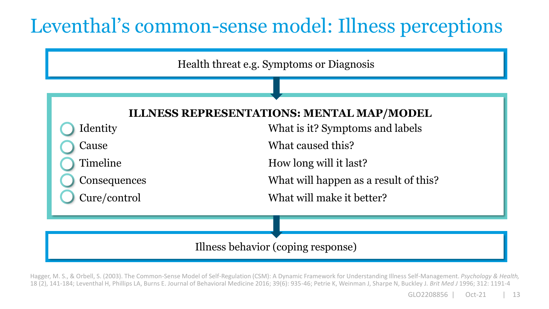## Leventhal's common-sense model: Illness perceptions

Health threat e.g. Symptoms or Diagnosis

### **ILLNESS REPRESENTATIONS: MENTAL MAP/MODEL**

Identity What is it? Symptoms and labels Cause What caused this? Timeline How long will it last? Consequences What will happen as a result of this? Cure/control What will make it better?

### Illness behavior (coping response)

Hagger, M. S., & Orbell, S. (2003). The Common-Sense Model of Self-Regulation (CSM): A Dynamic Framework for Understanding Illness Self-Management. *Psychology & Health,*  18 (2), 141-184; Leventhal H, Phillips LA, Burns E. Journal of Behavioral Medicine 2016; 39(6): 935-46; Petrie K, Weinman J, Sharpe N, Buckley J. *Brit Med J* 1996; 312: 1191-4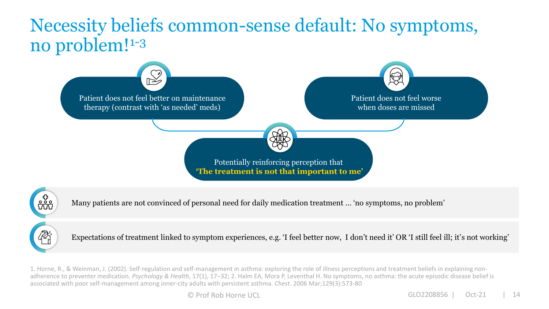### Necessity beliefs common-sense default: No symptoms, no problem!1-3





Many patients are not convinced of personal need for daily medication treatment … 'no symptoms, no problem'

 $\bigotimes_{i=1}^{n}$ 

Expectations of treatment linked to symptom experiences, e.g. 'I feel better now, I don't need it' OR 'I still feel ill; it's not working'

1. Horne, R., & Weinman, J. (2002). Self-regulation and self-management in asthma: exploring the role of illness perceptions and treatment beliefs in explaining nonadherence to preventer medication. *Psychology & Health*, 17(1), 17–32; 2. Halm EA, Mora P, Leventhal H. No symptoms, no asthma: the acute episodic disease belief is associated with poor self-management among inner-city adults with persistent asthma. *Chest*. 2006 Mar;129(3):573-80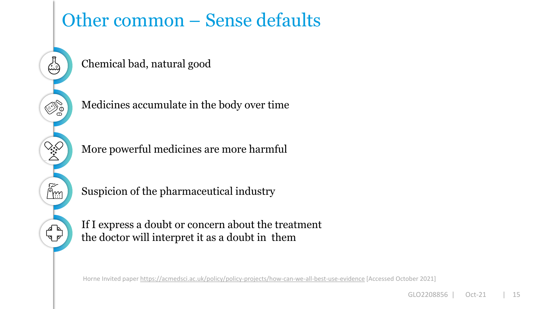### Other common – Sense defaults

Chemical bad, natural good

 $\begin{pmatrix} 1 \\ -1 \end{pmatrix}$ 

**CARD** 

ふ。

E<br>P

Medicines accumulate in the body over time

More powerful medicines are more harmful

Suspicion of the pharmaceutical industry

If I express a doubt or concern about the treatment the doctor will interpret it as a doubt in them

Horne Invited paper<https://acmedsci.ac.uk/policy/policy-projects/how-can-we-all-best-use-evidence> [Accessed October 2021]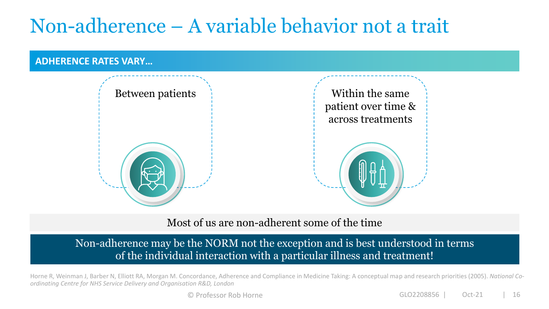## Non-adherence – A variable behavior not a trait

#### **ADHERENCE RATES VARY…**



Most of us are non-adherent some of the time

Non-adherence may be the NORM not the exception and is best understood in terms of the individual interaction with a particular illness and treatment!

Horne R, Weinman J, Barber N, Elliott RA, Morgan M. Concordance, Adherence and Compliance in Medicine Taking: A conceptual map and research priorities (2005). *National Coordinating Centre for NHS Service Delivery and Organisation R&D, London*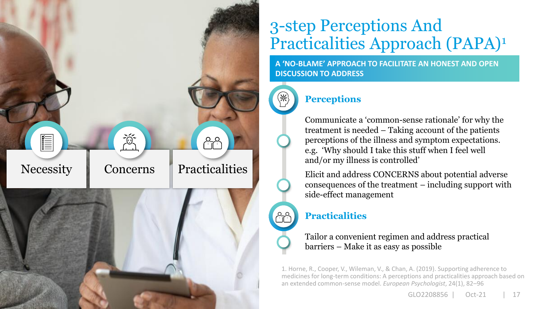

### 3-step Perceptions And Practicalities Approach (PAPA)<sup>1</sup>

**A 'NO-BLAME' APPROACH TO FACILITATE AN HONEST AND OPEN DISCUSSION TO ADDRESS**



### **Perceptions**

Communicate a 'common-sense rationale' for why the treatment is needed – Taking account of the patients perceptions of the illness and symptom expectations. e.g. 'Why should I take this stuff when I feel well and/or my illness is controlled'

Elicit and address CONCERNS about potential adverse consequences of the treatment – including support with side-effect management

### **Practicalities**

Tailor a convenient regimen and address practical barriers – Make it as easy as possible

1. Horne, R., Cooper, V., Wileman, V., & Chan, A. (2019). Supporting adherence to medicines for long-term conditions: A perceptions and practicalities approach based on an extended common-sense model. *European Psychologist*, 24(1), 82–96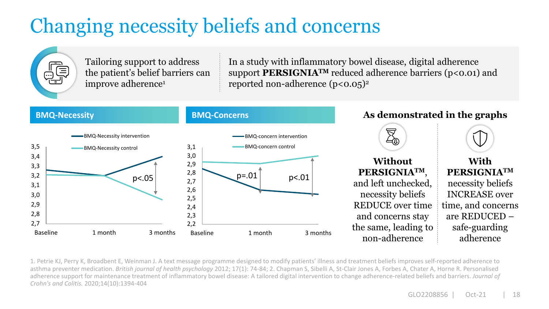# Changing necessity beliefs and concerns



1. Petrie KJ, Perry K, Broadbent E, Weinman J. A text message programme designed to modify patients' illness and treatment beliefs improves self‐reported adherence to asthma preventer medication. *British journal of health psychology* 2012; 17(1): 74-84; 2. Chapman S, Sibelli A, St-Clair Jones A, Forbes A, Chater A, Horne R. Personalised adherence support for maintenance treatment of inflammatory bowel disease: A tailored digital intervention to change adherence-related beliefs and barriers. *Journal of Crohn's and Colitis.* 2020;14(10):1394-404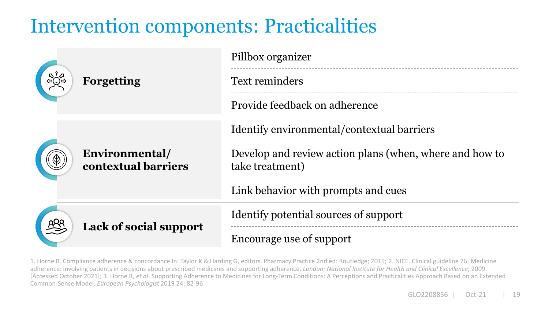### Intervention components: Practicalities

| <b>Forgetting</b>                     | Pillbox organizer                                                          |
|---------------------------------------|----------------------------------------------------------------------------|
|                                       | <b>Text reminders</b>                                                      |
|                                       | Provide feedback on adherence                                              |
| Environmental/<br>contextual barriers | Identify environmental/contextual barriers                                 |
|                                       | Develop and review action plans (when, where and how to<br>take treatment) |
|                                       | Link behavior with prompts and cues                                        |
| <b>Lack of social support</b>         | Identify potential sources of support                                      |
|                                       | Encourage use of support                                                   |

1. Horne R. Compliance adherence & concordance In: Taylor K & Harding G, editors. Pharmacy Practice 2nd ed: Routledge; 2015; 2. NICE. Clinical guideline 76: Medicine adherence: involving patients in decisions about prescribed medicines and supporting adherence. *London: National Institute for Health and Clinical Excellence*; 2009. [Accessed October 2021]; 3. Horne R, *et al*. Supporting Adherence to Medicines for Long-Term Conditions: A Perceptions and Practicalities Approach Based on an Extended Common-Sense Model. *European Psychologist* 2019 24: 82-96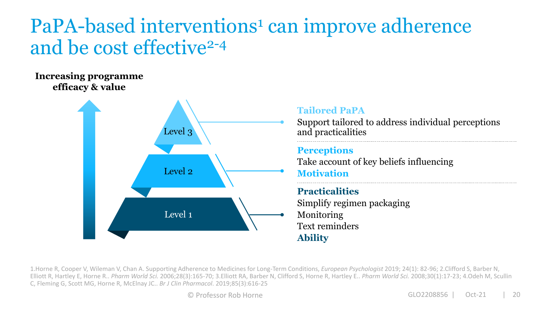### PaPA-based interventions<sup>1</sup> can improve adherence and be cost effective<sup>2-4</sup>

**Increasing programme efficacy & value**



#### **Tailored PaPA**

Support tailored to address individual perceptions and practicalities

### **Perceptions**

Take account of key beliefs influencing **Motivation**

#### **Practicalities**

Simplify regimen packaging Monitoring Text reminders **Ability**

1.Horne R, Cooper V, Wileman V, Chan A. Supporting Adherence to Medicines for Long-Term Conditions, *European Psychologist* 2019; 24(1): 82-96; 2.Clifford S, Barber N, Elliott R, Hartley E, Horne R.. *Pharm World Sci.* 2006;28(3):165-70; 3.Elliott RA, Barber N, Clifford S, Horne R, Hartley E.. *Pharm World Sci.* 2008;30(1):17-23; 4.Odeh M, Scullin C, Fleming G, Scott MG, Horne R, McElnay JC.. *Br J Clin Pharmacol*. 2019;85(3):616-25

© Professor Rob Horne